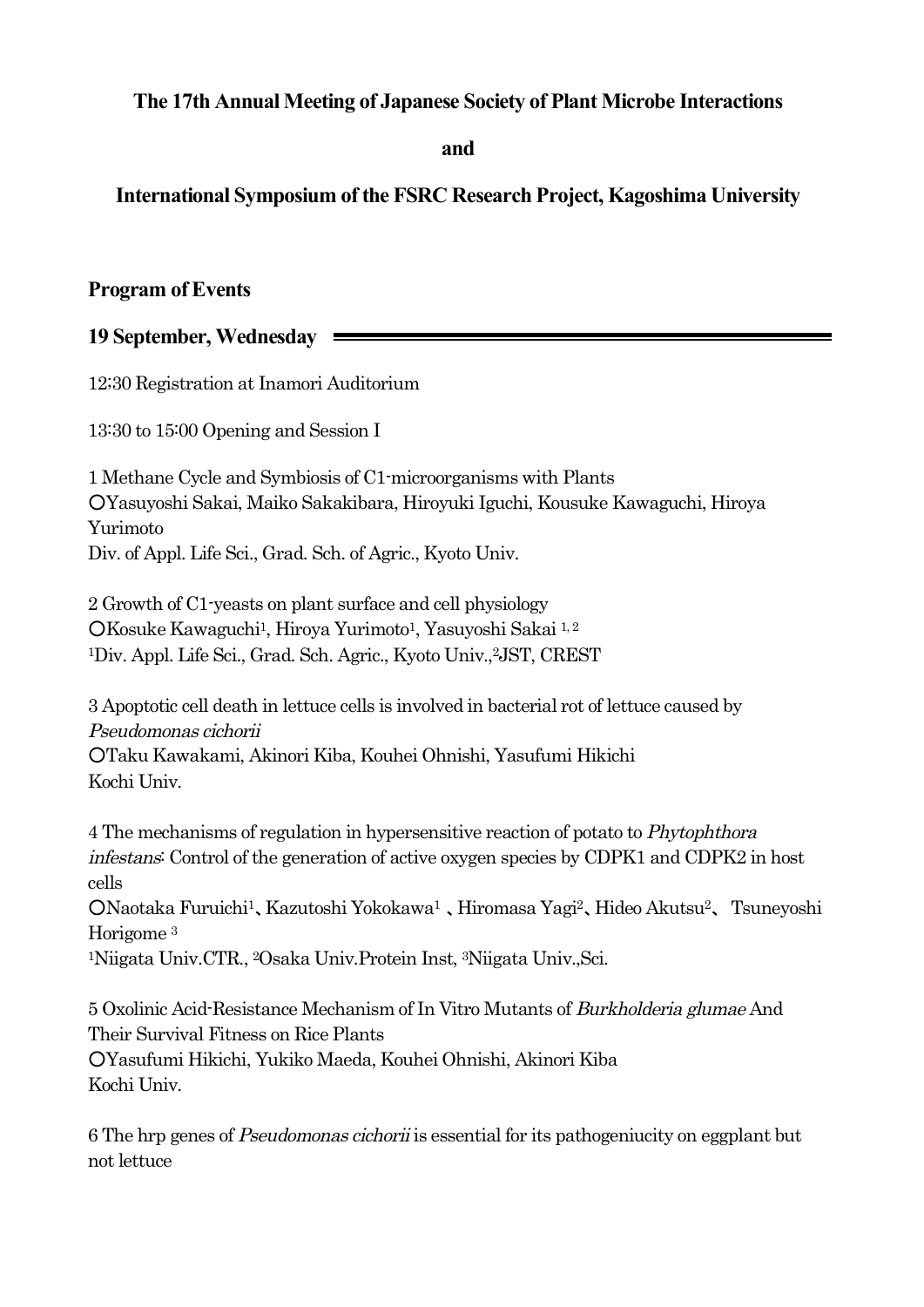## **The 17th Annual Meeting of Japanese Society of Plant Microbe Interactions**

**and**

# **International Symposium of the FSRC Research Project, Kagoshima University**

## **Program of Events**

## **19 September, Wednesday**

12;30 Registration at Inamori Auditorium

13:30 to 15:00 Opening and Session I

1 Methane Cycle and Symbiosis of C1-microorganisms with Plants ○Yasuyoshi Sakai, Maiko Sakakibara, Hiroyuki Iguchi, Kousuke Kawaguchi, Hiroya Yurimoto Div. of Appl. Life Sci., Grad. Sch. of Agric., Kyoto Univ.

2 Growth of C1-yeasts on plant surface and cell physiology ○Kosuke Kawaguchi1, Hiroya Yurimoto1, Yasuyoshi Sakai 1, <sup>2</sup> 1Div. Appl. Life Sci., Grad. Sch. Agric., Kyoto Univ., 2JST, CREST

3 Apoptotic cell death in lettuce cells is involved in bacterial rot of lettuce caused by Pseudomonas cichorii ○Taku Kawakami, Akinori Kiba, Kouhei Ohnishi, Yasufumi Hikichi

Kochi Univ.

4 The mechanisms of regulation in hypersensitive reaction of potato to Phytophthora infestans: Control of the generation of active oxygen species by CDPK1 and CDPK2 in host cells

○Naotaka Furuichi1、Kazutoshi Yokokawa1 、Hiromasa Yagi2、Hideo Akutsu2、 Tsuneyoshi Horigome <sup>3</sup>

1Niigata Univ.CTR., 2Osaka Univ.Protein Inst, 3Niigata Univ.,Sci.

5 Oxolinic Acid-Resistance Mechanism of In Vitro Mutants of Burkholderia glumae And Their Survival Fitness on Rice Plants ○Yasufumi Hikichi, Yukiko Maeda, Kouhei Ohnishi, Akinori Kiba Kochi Univ.

6 The hrp genes of Pseudomonas cichorii is essential for its pathogeniucity on eggplant but not lettuce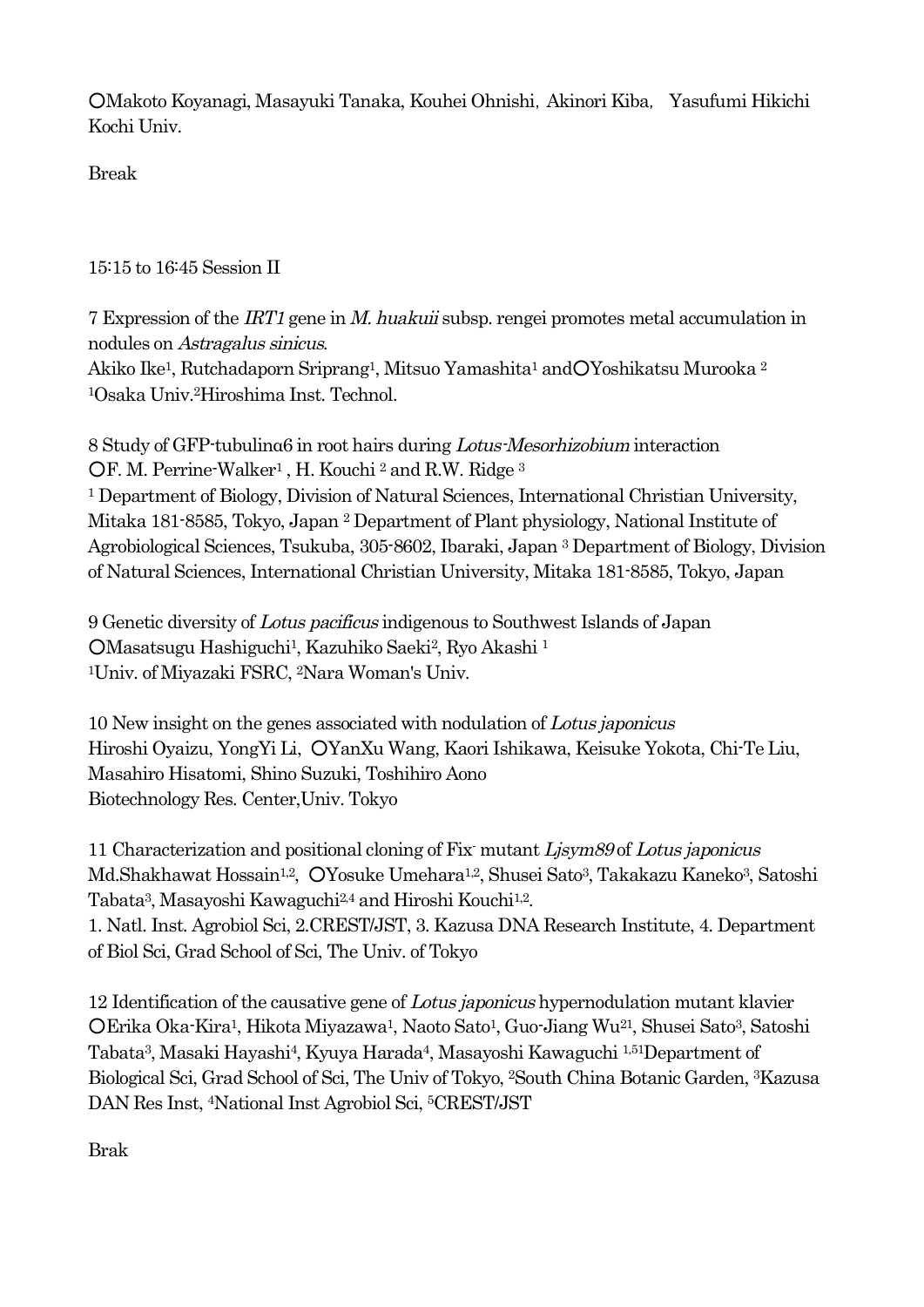○Makoto Koyanagi, Masayuki Tanaka, Kouhei Ohnishi,Akinori Kiba, Yasufumi Hikichi Kochi Univ.

Break

15:15 to 16:45 Session II

7 Expression of the IRT1 gene in M. huakuii subsp. rengei promotes metal accumulation in nodules on Astragalus sinicus.

Akiko Ike<sup>1</sup>, Rutchadaporn Sriprang<sup>1</sup>, Mitsuo Yamashita<sup>1</sup> andOYoshikatsu Murooka<sup>2</sup> 1Osaka Univ. 2Hiroshima Inst. Technol.

8 Study of GFP-tubulinα6 in root hairs during Lotus-Mesorhizobium interaction OF. M. Perrine-Walker<sup>1</sup>, H. Kouchi<sup>2</sup> and R.W. Ridge<sup>3</sup> <sup>1</sup> Department of Biology, Division of Natural Sciences, International Christian University, Mitaka 181-8585, Tokyo, Japan <sup>2</sup> Department of Plant physiology, National Institute of Agrobiological Sciences, Tsukuba, 305-8602, Ibaraki, Japan <sup>3</sup> Department of Biology, Division of Natural Sciences, International Christian University, Mitaka 181-8585, Tokyo, Japan

9 Genetic diversity of Lotus pacificus indigenous to Southwest Islands of Japan ○Masatsugu Hashiguchi1, Kazuhiko Saeki2, Ryo Akashi <sup>1</sup> 1Univ. of Miyazaki FSRC, 2Nara Woman's Univ.

10 New insight on the genes associated with nodulation of Lotus japonicus Hiroshi Oyaizu, YongYi Li, ○YanXu Wang, Kaori Ishikawa, Keisuke Yokota, Chi-Te Liu, Masahiro Hisatomi, Shino Suzuki, Toshihiro Aono Biotechnology Res. Center,Univ. Tokyo

11 Characterization and positional cloning of Fix- mutant Ljsym89 of Lotus japonicus Md.Shakhawat Hossain<sup>1,2</sup>, OYosuke Umehara<sup>1,2</sup>, Shusei Sato<sup>3</sup>, Takakazu Kaneko<sup>3</sup>, Satoshi Tabata3, Masayoshi Kawaguchi2,4 and Hiroshi Kouchi1,2. 1. Natl. Inst. Agrobiol Sci, 2.CREST/JST, 3. Kazusa DNA Research Institute, 4. Department of Biol Sci, Grad School of Sci, The Univ. of Tokyo

12 Identification of the causative gene of Lotus japonicus hypernodulation mutant klavier ○Erika Oka-Kira1, Hikota Miyazawa1, Naoto Sato1, Guo-Jiang Wu21, Shusei Sato3, Satoshi Tabata3, Masaki Hayashi4, Kyuya Harada4, Masayoshi Kawaguchi 1,51Department of Biological Sci, Grad School of Sci, The Univ of Tokyo, 2South China Botanic Garden, 3Kazusa DAN Res Inst, 4National Inst Agrobiol Sci, 5CREST/JST

Brak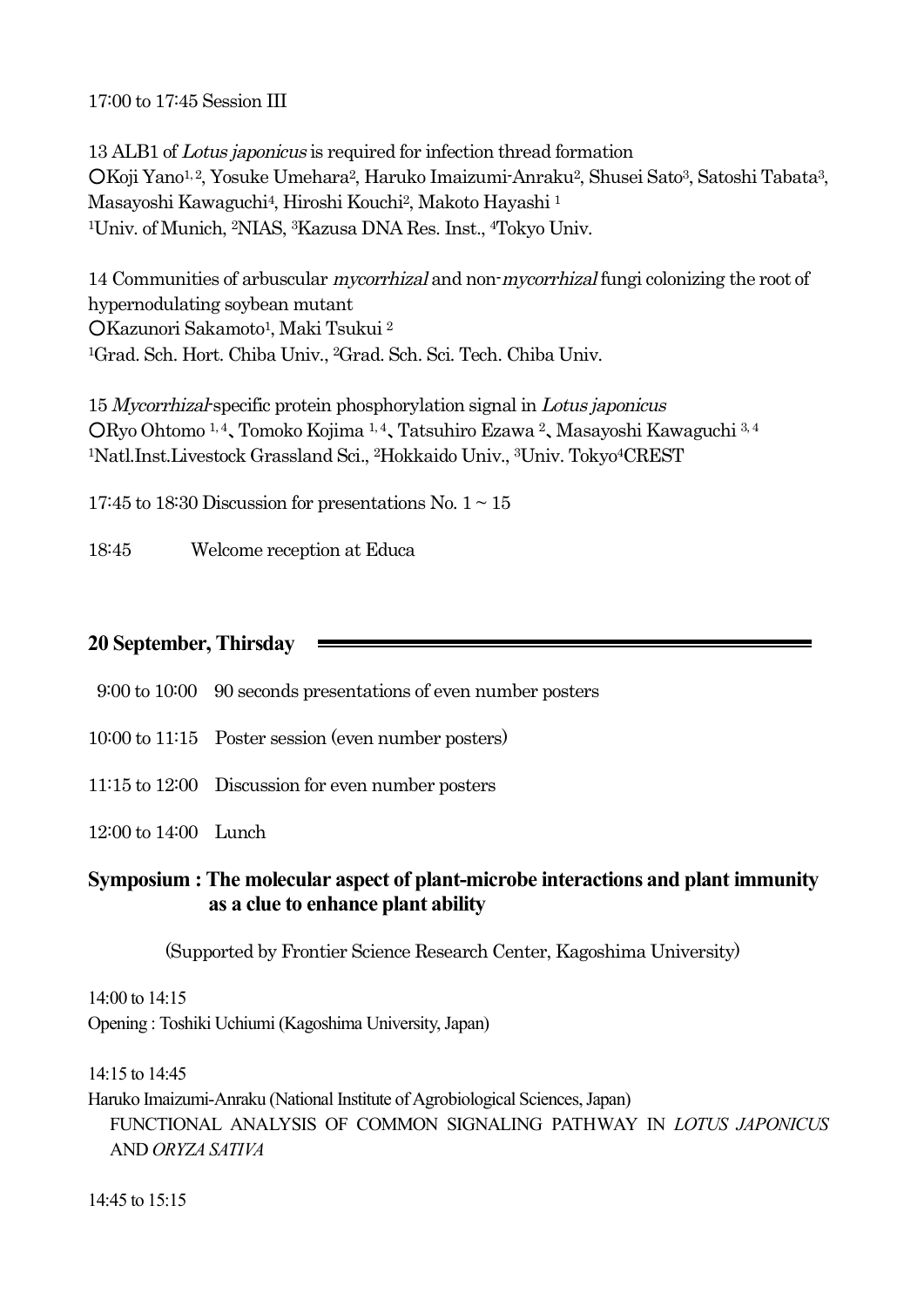17:00 to 17:45 Session III

13 ALB1 of Lotus japonicus is required for infection thread formation ○Koji Yano1, 2, Yosuke Umehara2, Haruko Imaizumi-Anraku2, Shusei Sato3, Satoshi Tabata3, Masayoshi Kawaguchi4, Hiroshi Kouchi2, Makoto Hayashi <sup>1</sup> 1Univ. of Munich, 2NIAS, 3Kazusa DNA Res. Inst., 4Tokyo Univ.

14 Communities of arbuscular mycorrhizal and non-mycorrhizal fungi colonizing the root of hypernodulating soybean mutant ○Kazunori Sakamoto1, Maki Tsukui <sup>2</sup> 1Grad. Sch. Hort. Chiba Univ., 2Grad. Sch. Sci. Tech. Chiba Univ.

15 Mycorrhizal-specific protein phosphorylation signal in Lotus japonicus ○Ryo Ohtomo 1, <sup>4</sup>、Tomoko Kojima 1, <sup>4</sup>、Tatsuhiro Ezawa <sup>2</sup>、Masayoshi Kawaguchi 3, <sup>4</sup> 1Natl.Inst.Livestock Grassland Sci., 2Hokkaido Univ., 3Univ. Tokyo4CREST

17:45 to 18:30 Discussion for presentations No.  $1 \sim 15$ 

18:45 Welcome reception at Educa

#### **20 September, Thirsday**

9:00 to 10:00 90 seconds presentations of even number posters

- 10:00 to 11:15 Poster session (even number posters)
- 11:15 to 12:00 Discussion for even number posters

12:00 to 14:00 Lunch

### **Symposium : The molecular aspect of plant-microbe interactions and plant immunity as a clue to enhance plant ability**

(Supported by Frontier Science Research Center, Kagoshima University)

14:00 to 14:15 Opening : Toshiki Uchiumi (Kagoshima University, Japan)

14:15 to 14:45

Haruko Imaizumi-Anraku (National Institute of Agrobiological Sciences, Japan) FUNCTIONAL ANALYSIS OF COMMON SIGNALING PATHWAY IN *LOTUS JAPONICUS* AND *ORYZA SATIVA*

14:45 to 15:15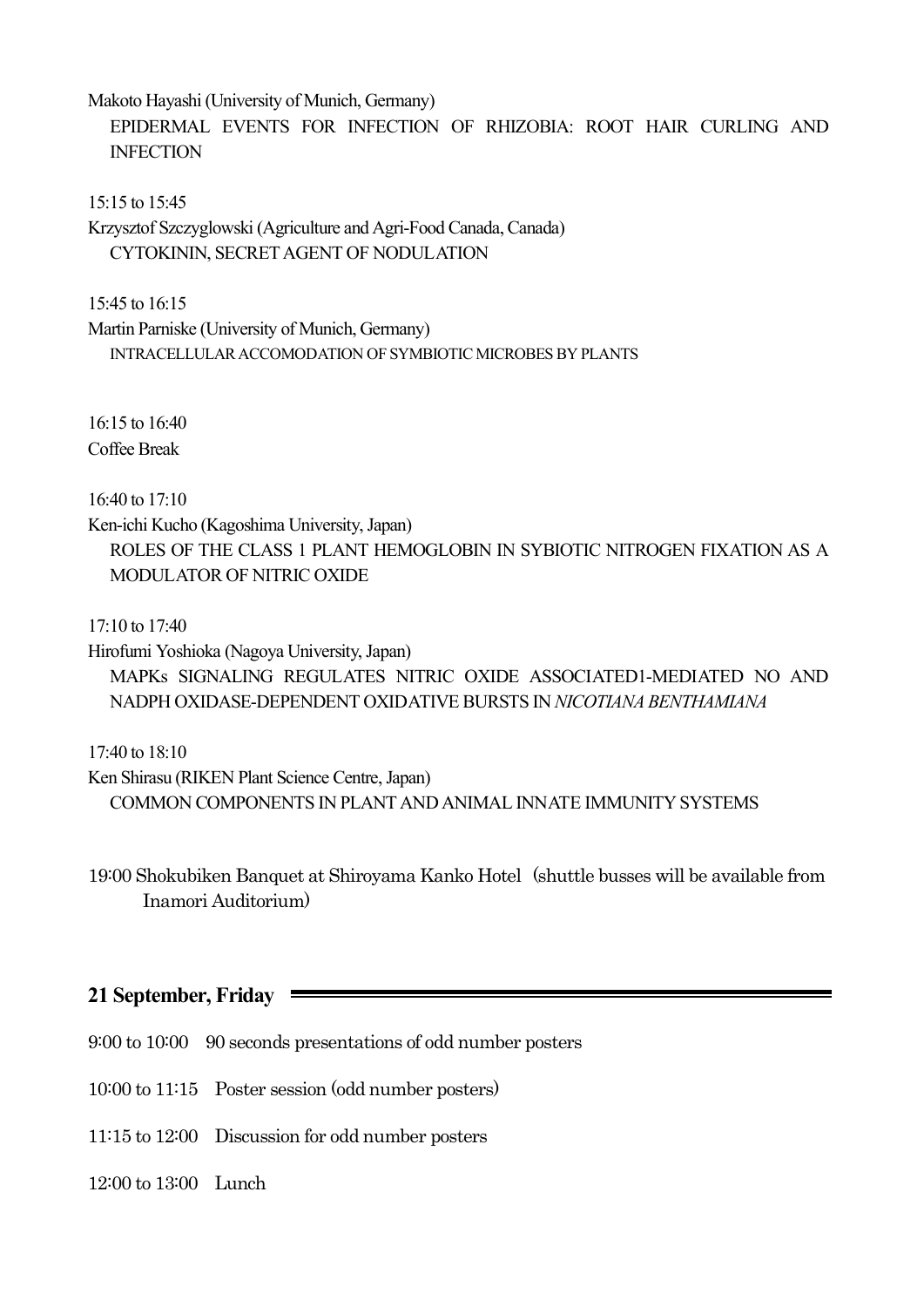Makoto Hayashi (University of Munich, Germany)

EPIDERMAL EVENTS FOR INFECTION OF RHIZOBIA: ROOT HAIR CURLING AND INFECTION

15:15 to 15:45

Krzysztof Szczyglowski (Agriculture and Agri-Food Canada, Canada) CYTOKININ, SECRETAGENT OF NODULATION

15:45 to 16:15

Martin Parniske (University of Munich, Germany) INTRACELLULARACCOMODATION OF SYMBIOTIC MICROBES BYPLANTS

16:15 to 16:40 Coffee Break

16:40 to 17:10

Ken-ichi Kucho (Kagoshima University, Japan) ROLES OF THE CLASS 1 PLANT HEMOGLOBIN IN SYBIOTIC NITROGEN FIXATION AS A MODULATOR OF NITRIC OXIDE

17:10 to 17:40

Hirofumi Yoshioka (Nagoya University, Japan) MAPKs SIGNALING REGULATES NITRIC OXIDE ASSOCIATED1-MEDIATED NO AND NADPH OXIDASE-DEPENDENT OXIDATIVE BURSTS IN *NICOTIANA BENTHAMIANA*

17:40 to 18:10

Ken Shirasu (RIKEN Plant Science Centre, Japan) COMMON COMPONENTS IN PLANTAND ANIMAL INNATE IMMUNITY SYSTEMS

19:00 Shokubiken Banquet at Shiroyama Kanko Hotel (shuttle busses will be available from Inamori Auditorium)

### **21 September, Friday**

- 9:00 to 10:00 90 seconds presentations of odd number posters
- 10:00 to 11:15 Poster session (odd number posters)
- 11:15 to 12:00 Discussion for odd number posters
- 12:00 to 13:00 Lunch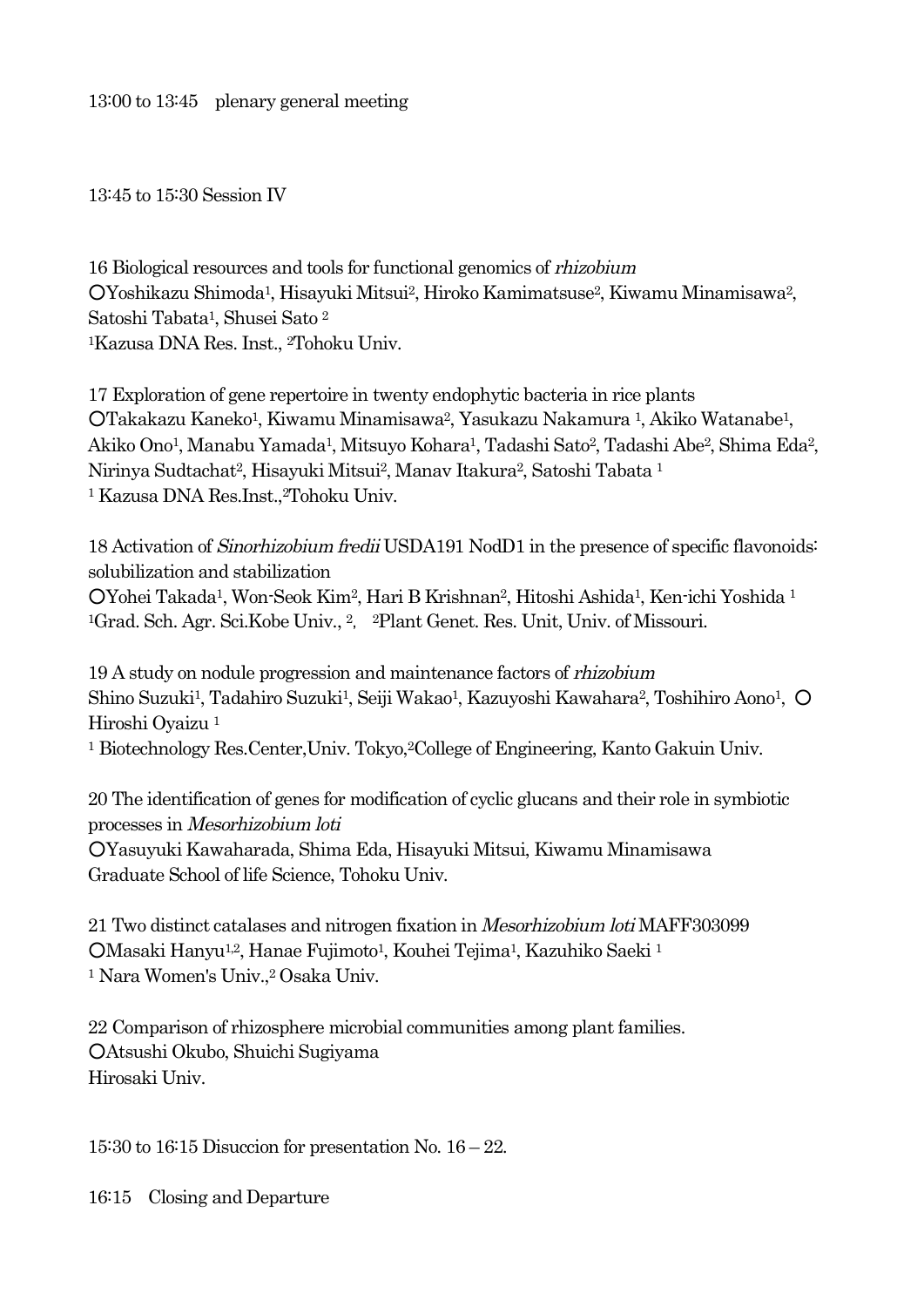13:45 to 15:30 Session IV

16 Biological resources and tools for functional genomics of rhizobium ○Yoshikazu Shimoda1, Hisayuki Mitsui2, Hiroko Kamimatsuse2, Kiwamu Minamisawa2, Satoshi Tabata1, Shusei Sato <sup>2</sup> 1Kazusa DNA Res. Inst., 2Tohoku Univ.

17 Exploration of gene repertoire in twenty endophytic bacteria in rice plants ○Takakazu Kaneko1, Kiwamu Minamisawa2, Yasukazu Nakamura 1, Akiko Watanabe1, Akiko Ono1, Manabu Yamada1, Mitsuyo Kohara1, Tadashi Sato2, Tadashi Abe2, Shima Eda2, Nirinya Sudtachat2, Hisayuki Mitsui2, Manav Itakura2, Satoshi Tabata <sup>1</sup> <sup>1</sup> Kazusa DNA Res.Inst., 2Tohoku Univ.

18 Activation of Sinorhizobium fredii USDA191 NodD1 in the presence of specific flavonoids: solubilization and stabilization ○Yohei Takada1, Won-Seok Kim2, Hari B Krishnan2, Hitoshi Ashida1, Ken-ichi Yoshida <sup>1</sup> 1Grad. Sch. Agr. Sci.Kobe Univ., <sup>2</sup>, 2Plant Genet. Res. Unit, Univ. of Missouri.

19 A study on nodule progression and maintenance factors of rhizobium Shino Suzuki<sup>1</sup>, Tadahiro Suzuki<sup>1</sup>, Seiji Wakao<sup>1</sup>, Kazuyoshi Kawahara<sup>2</sup>, Toshihiro Aono<sup>1</sup>, O Hiroshi Oyaizu <sup>1</sup>

<sup>1</sup> Biotechnology Res.Center,Univ. Tokyo,2College of Engineering, Kanto Gakuin Univ.

20 The identification of genes for modification of cyclic glucans and their role in symbiotic processes in Mesorhizobium loti ○Yasuyuki Kawaharada, Shima Eda, Hisayuki Mitsui, Kiwamu Minamisawa Graduate School of life Science, Tohoku Univ.

21 Two distinct catalases and nitrogen fixation in Mesorhizobium loti MAFF303099 ○Masaki Hanyu1,2, Hanae Fujimoto1, Kouhei Tejima1, Kazuhiko Saeki <sup>1</sup> <sup>1</sup> Nara Women's Univ.,2 Osaka Univ.

22 Comparison of rhizosphere microbial communities among plant families. ○Atsushi Okubo, Shuichi Sugiyama Hirosaki Univ.

15:30 to 16:15 Disuccion for presentation No. 16 – 22.

16:15 Closing and Departure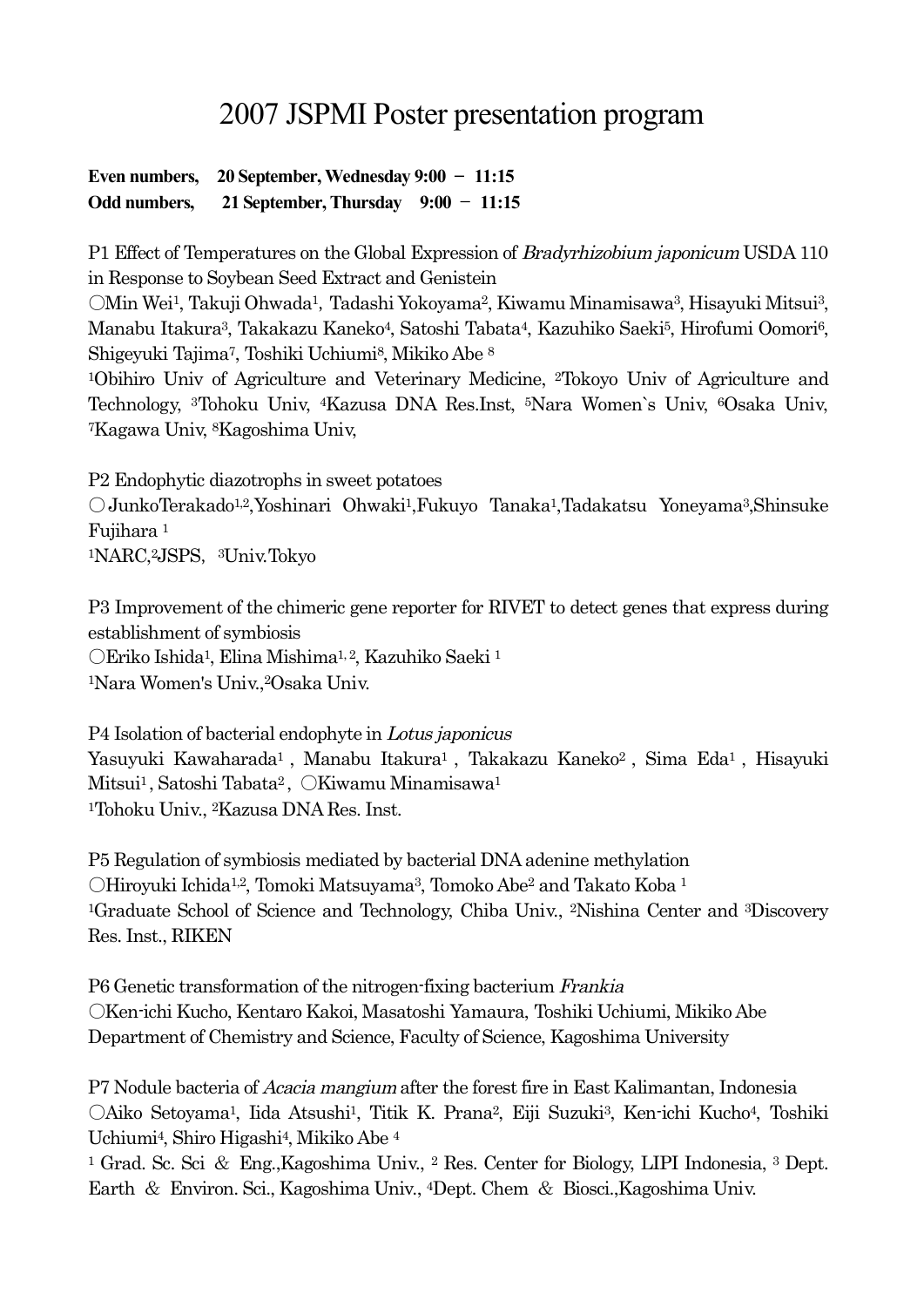# 2007 JSPMI Poster presentation program

#### **Even numbers, 20 September, Wednesday 9:00** - **11:15 Odd numbers, 21 September,Thursday 9:00** - **11:15**

P1 Effect of Temperatures on the Global Expression of Bradyrhizobium japonicum USDA 110 in Response to Soybean Seed Extract and Genistein

OMin Wei<sup>1</sup>, Takuji Ohwada<sup>1</sup>, Tadashi Yokoyama<sup>2</sup>, Kiwamu Minamisawa<sup>3</sup>, Hisayuki Mitsui<sup>3</sup>, Manabu Itakura3, Takakazu Kaneko4, Satoshi Tabata4, Kazuhiko Saeki5, Hirofumi Oomori6, Shigeyuki Tajima7, Toshiki Uchiumi8, Mikiko Abe <sup>8</sup>

1Obihiro Univ of Agriculture and Veterinary Medicine, 2Tokoyo Univ of Agriculture and Technology, 3Tohoku Univ, 4Kazusa DNA Res.Inst, 5Nara Women`s Univ, 6Osaka Univ, 7Kagawa Univ, 8Kagoshima Univ,

P2 Endophytic diazotrophs in sweet potatoes ○JunkoTerakado1,2,Yoshinari Ohwaki1,Fukuyo Tanaka1,Tadakatsu Yoneyama3,Shinsuke Fujihara <sup>1</sup> <sup>1</sup>NARC,<sup>2</sup>JSPS, <sup>3</sup>Univ.Tokyo

P3 Improvement of the chimeric gene reporter for RIVET to detect genes that express during establishment of symbiosis ○Eriko Ishida1, Elina Mishima1, 2, Kazuhiko Saeki <sup>1</sup>

1Nara Women's Univ.,2Osaka Univ.

P4 Isolation of bacterial endophyte in Lotus japonicus Yasuyuki Kawaharada<sup>1</sup>, Manabu Itakura<sup>1</sup>, Takakazu Kaneko<sup>2</sup>, Sima Eda<sup>1</sup>, Hisayuki Mitsui<sup>1</sup>, Satoshi Tabata<sup>2</sup>, OKiwamu Minamisawa<sup>1</sup>

1Tohoku Univ., 2Kazusa DNA Res. Inst.

P5 Regulation of symbiosis mediated by bacterial DNA adenine methylation  $\bigcirc$ Hiroyuki Ichida<sup>1,2</sup>, Tomoki Matsuyama<sup>3</sup>, Tomoko Abe<sup>2</sup> and Takato Koba <sup>1</sup> 1Graduate School of Science and Technology, Chiba Univ., 2Nishina Center and 3Discovery Res. Inst., RIKEN

P6 Genetic transformation of the nitrogen-fixing bacterium Frankia ○Ken-ichi Kucho, Kentaro Kakoi, Masatoshi Yamaura, Toshiki Uchiumi, Mikiko Abe Department of Chemistry and Science, Faculty of Science, Kagoshima University

P7 Nodule bacteria of *Acacia mangium* after the forest fire in East Kalimantan, Indonesia ○Aiko Setoyama1, Iida Atsushi1, Titik K. Prana2, Eiji Suzuki3, Ken-ichi Kucho4, Toshiki Uchiumi4, Shiro Higashi4, Mikiko Abe <sup>4</sup>

<sup>1</sup> Grad. Sc. Sci & Eng.,Kagoshima Univ., <sup>2</sup> Res. Center for Biology, LIPI Indonesia, <sup>3</sup> Dept. Earth & Environ. Sci., Kagoshima Univ., 4Dept. Chem & Biosci.,Kagoshima Univ.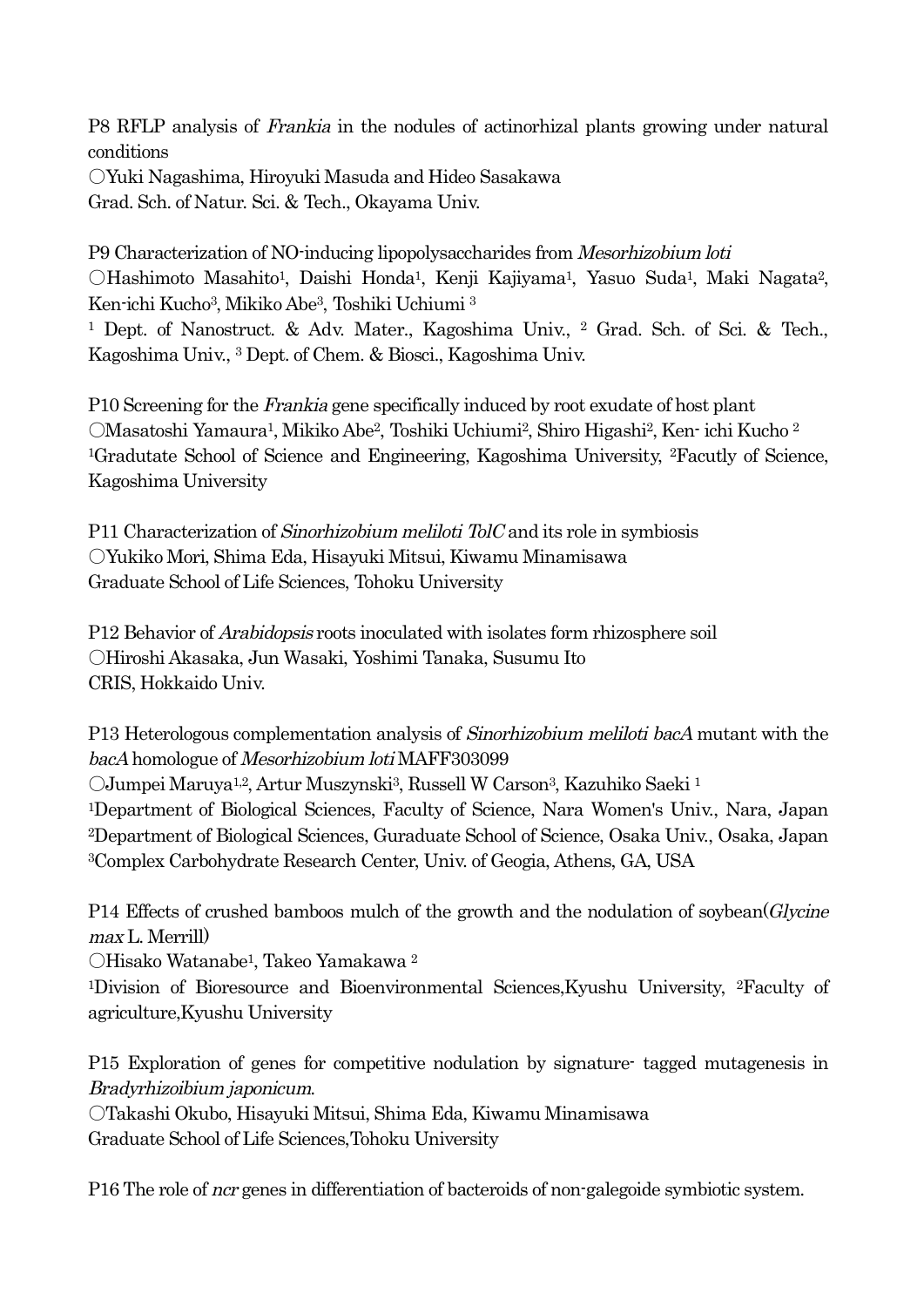P8 RFLP analysis of Frankia in the nodules of actinorhizal plants growing under natural conditions ○Yuki Nagashima, Hiroyuki Masuda and Hideo Sasakawa Grad. Sch. of Natur. Sci. & Tech., Okayama Univ.

P9 Characterization of NO-inducing lipopolysaccharides from Mesorhizobium loti ○Hashimoto Masahito1, Daishi Honda1, Kenji Kajiyama1, Yasuo Suda1, Maki Nagata2, Ken-ichi Kucho3, Mikiko Abe3, Toshiki Uchiumi <sup>3</sup>

<sup>1</sup> Dept. of Nanostruct. & Adv. Mater., Kagoshima Univ., <sup>2</sup> Grad. Sch. of Sci. & Tech., Kagoshima Univ., <sup>3</sup> Dept. of Chem. & Biosci., Kagoshima Univ.

P10 Screening for the Frankia gene specifically induced by root exudate of host plant ○Masatoshi Yamaura1, Mikiko Abe2, Toshiki Uchiumi2, Shiro Higashi2, Ken- ichi Kucho <sup>2</sup> 1Gradutate School of Science and Engineering, Kagoshima University, 2Facutly of Science, Kagoshima University

P11 Characterization of Sinorhizobium meliloti TolC and its role in symbiosis ○Yukiko Mori, Shima Eda, Hisayuki Mitsui, Kiwamu Minamisawa Graduate School of Life Sciences, Tohoku University

P12 Behavior of *Arabidopsis* roots inoculated with isolates form rhizosphere soil ○Hiroshi Akasaka, Jun Wasaki, Yoshimi Tanaka, Susumu Ito CRIS, Hokkaido Univ.

P13 Heterologous complementation analysis of *Sinorhizobium meliloti bacA* mutant with the bacA homologue of Mesorhizobium loti MAFF303099

○Jumpei Maruya1,2, Artur Muszynski3, Russell W Carson3, Kazuhiko Saeki <sup>1</sup>

1Department of Biological Sciences, Faculty of Science, Nara Women's Univ., Nara, Japan 2Department of Biological Sciences, Guraduate School of Science, Osaka Univ., Osaka, Japan 3Complex Carbohydrate Research Center, Univ. of Geogia, Athens, GA, USA

P14 Effects of crushed bamboos mulch of the growth and the nodulation of soybean(*Glycine* max L. Merrill)

○Hisako Watanabe1, Takeo Yamakawa <sup>2</sup>

1Division of Bioresource and Bioenvironmental Sciences,Kyushu University, 2Faculty of agriculture,Kyushu University

P15 Exploration of genes for competitive nodulation by signature- tagged mutagenesis in Bradyrhizoibium japonicum.

○Takashi Okubo, Hisayuki Mitsui, Shima Eda, Kiwamu Minamisawa Graduate School of Life Sciences,Tohoku University

P16 The role of *ncr* genes in differentiation of bacteroids of non-galegoide symbiotic system.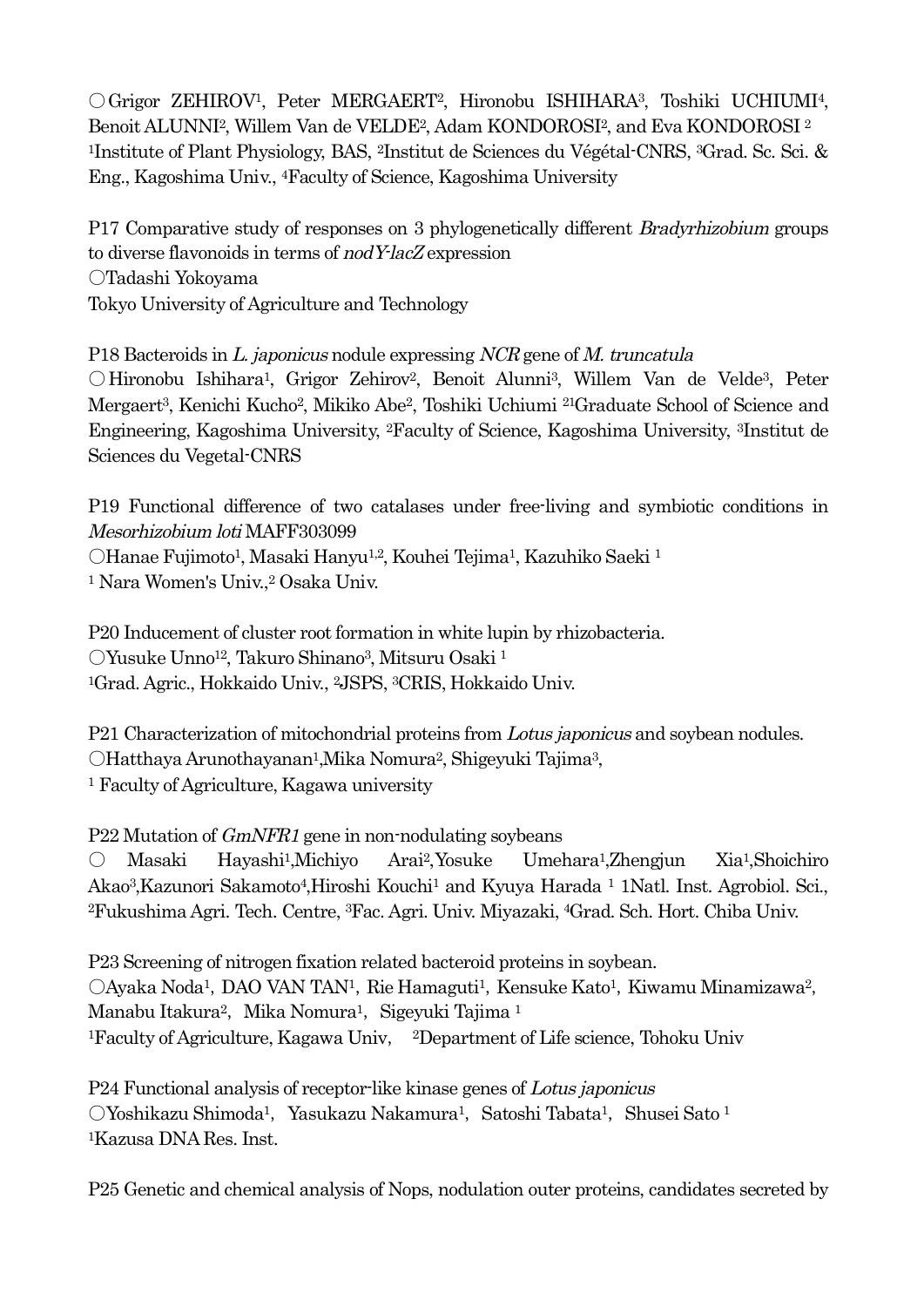○Grigor ZEHIROV1, Peter MERGAERT2, Hironobu ISHIHARA3, Toshiki UCHIUMI4, Benoit ALUNNI2, Willem Van de VELDE2, Adam KONDOROSI2, and Eva KONDOROSI <sup>2</sup> 1Institute of Plant Physiology, BAS, 2Institut de Sciences du Végétal-CNRS, 3Grad. Sc. Sci. & Eng., Kagoshima Univ., 4Faculty of Science, Kagoshima University

P17 Comparative study of responses on 3 phylogenetically different Bradyrhizobium groups to diverse flavonoids in terms of nodY-lacZ expression ○Tadashi Yokoyama Tokyo University of Agriculture and Technology

P18 Bacteroids in L. japonicus nodule expressing NCR gene of M. truncatula

○Hironobu Ishihara1, Grigor Zehirov2, Benoit Alunni3, Willem Van de Velde3, Peter Mergaert3, Kenichi Kucho2, Mikiko Abe2, Toshiki Uchiumi 21Graduate School of Science and Engineering, Kagoshima University, 2Faculty of Science, Kagoshima University, 3Institut de Sciences du Vegetal-CNRS

P19 Functional difference of two catalases under free-living and symbiotic conditions in Mesorhizobium loti MAFF303099

○Hanae Fujimoto1, Masaki Hanyu1,2, Kouhei Tejima1, Kazuhiko Saeki <sup>1</sup> <sup>1</sup> Nara Women's Univ.,<sup>2</sup> Osaka Univ.

P20 Inducement of cluster root formation in white lupin by rhizobacteria. ○Yusuke Unno12, Takuro Shinano3, Mitsuru Osaki <sup>1</sup> 1Grad. Agric., Hokkaido Univ., 2JSPS, 3CRIS, Hokkaido Univ.

P21 Characterization of mitochondrial proteins from Lotus japonicus and soybean nodules. ○Hatthaya Arunothayanan1,Mika Nomura2, Shigeyuki Tajima3, <sup>1</sup> Faculty of Agriculture, Kagawa university

#### P22 Mutation of GmNFR1 gene in non-nodulating soybeans

○ Masaki Hayashi1,Michiyo Arai2,Yosuke Umehara1,Zhengjun Xia1,Shoichiro Akao3,Kazunori Sakamoto4,Hiroshi Kouchi1 and Kyuya Harada <sup>1</sup> 1Natl. Inst. Agrobiol. Sci., 2Fukushima Agri. Tech. Centre, 3Fac. Agri. Univ. Miyazaki, 4Grad. Sch. Hort. Chiba Univ.

P23 Screening of nitrogen fixation related bacteroid proteins in soybean.  $O$ Ayaka Noda<sup>1</sup>, DAO VAN TAN<sup>1</sup>, Rie Hamaguti<sup>1</sup>, Kensuke Kato<sup>1</sup>, Kiwamu Minamizawa<sup>2</sup>, Manabu Itakura<sup>2</sup>, Mika Nomura<sup>1</sup>, Sigeyuki Tajima <sup>1</sup> 1Faculty of Agriculture, Kagawa Univ, 2Department of Life science, Tohoku Univ

P24 Functional analysis of receptor-like kinase genes of Lotus japonicus ○Yoshikazu Shimoda<sup>1</sup>, Yasukazu Nakamura<sup>1</sup>, Satoshi Tabata<sup>1</sup>, Shusei Sato <sup>1</sup> 1Kazusa DNA Res. Inst.

P25 Genetic and chemical analysis of Nops, nodulation outer proteins, candidates secreted by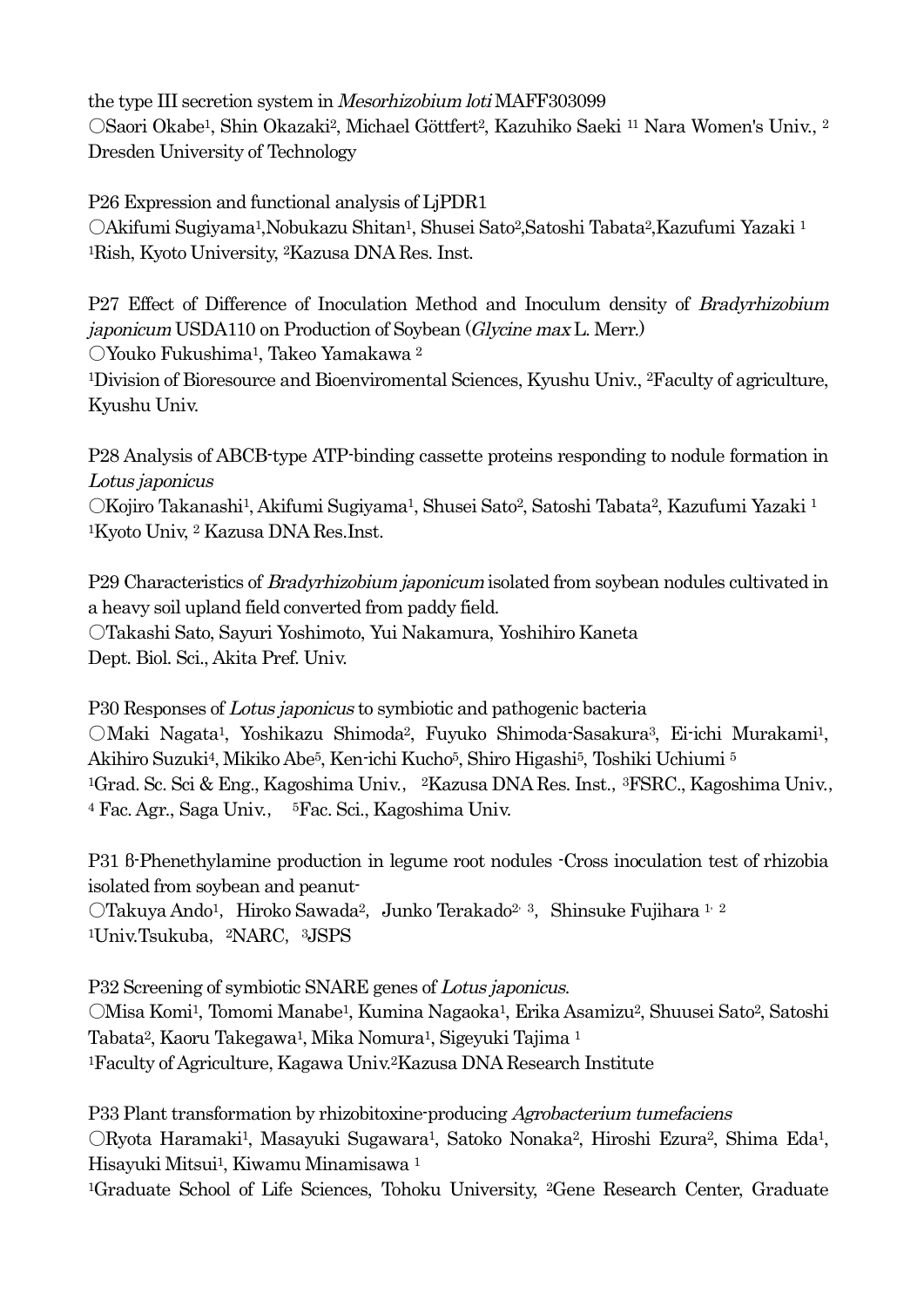the type III secretion system in Mesorhizobium loti MAFF303099 ○Saori Okabe1, Shin Okazaki2, Michael Göttfert2, Kazuhiko Saeki <sup>11</sup> Nara Women's Univ., <sup>2</sup> Dresden University of Technology

P26 Expression and functional analysis of LjPDR1 ○Akifumi Sugiyama1,Nobukazu Shitan1, Shusei Sato2,Satoshi Tabata2,Kazufumi Yazaki <sup>1</sup> 1Rish, Kyoto University, 2Kazusa DNA Res. Inst.

P27 Effect of Difference of Inoculation Method and Inoculum density of Bradyrhizobium japonicum USDA110 on Production of Soybean (Glycine max L. Merr.)

○Youko Fukushima1, Takeo Yamakawa <sup>2</sup>

1Division of Bioresource and Bioenviromental Sciences, Kyushu Univ., 2Faculty of agriculture, Kyushu Univ.

P28 Analysis of ABCB-type ATP-binding cassette proteins responding to nodule formation in Lotus japonicus ○Kojiro Takanashi1, Akifumi Sugiyama1, Shusei Sato2, Satoshi Tabata2, Kazufumi Yazaki <sup>1</sup> 1Kyoto Univ, <sup>2</sup> Kazusa DNA Res.Inst.

P29 Characteristics of *Bradyrhizobium japonicum* isolated from soybean nodules cultivated in a heavy soil upland field converted from paddy field. ○Takashi Sato, Sayuri Yoshimoto, Yui Nakamura, Yoshihiro Kaneta Dept. Biol. Sci., Akita Pref. Univ.

P30 Responses of Lotus japonicus to symbiotic and pathogenic bacteria ○Maki Nagata1, Yoshikazu Shimoda2, Fuyuko Shimoda-Sasakura3, Ei-ichi Murakami1, Akihiro Suzuki4, Mikiko Abe5, Ken-ichi Kucho5, Shiro Higashi5, Toshiki Uchiumi <sup>5</sup> <sup>1</sup>Grad. Sc. Sci & Eng., Kagoshima Univ., <sup>2</sup>Kazusa DNA Res. Inst., <sup>3</sup>FSRC., Kagoshima Univ., <sup>4</sup> Fac. Agr., Saga Univ., 5Fac. Sci., Kagoshima Univ.

P31 β-Phenethylamine production in legume root nodules -Cross inoculation test of rhizobia isolated from soybean and peanut- OTakuya Ando<sup>1</sup>, Hiroko Sawada<sup>2</sup>, Junko Terakado<sup>2, 3</sup>, Shinsuke Fujihara <sup>1, 2</sup> <sup>1</sup>Univ.Tsukuba, <sup>2</sup>NARC, <sup>3</sup>JSPS

P32 Screening of symbiotic SNARE genes of Lotus japonicus. ○Misa Komi1, Tomomi Manabe1, Kumina Nagaoka1, Erika Asamizu2, Shuusei Sato2, Satoshi Tabata2, Kaoru Takegawa1, Mika Nomura1, Sigeyuki Tajima <sup>1</sup> 1Faculty of Agriculture, Kagawa Univ.2Kazusa DNA Research Institute

P33 Plant transformation by rhizobitoxine-producing Agrobacterium tumefaciens ○Ryota Haramaki1, Masayuki Sugawara1, Satoko Nonaka2, Hiroshi Ezura2, Shima Eda1, Hisayuki Mitsui1, Kiwamu Minamisawa <sup>1</sup>

1Graduate School of Life Sciences, Tohoku University, 2Gene Research Center, Graduate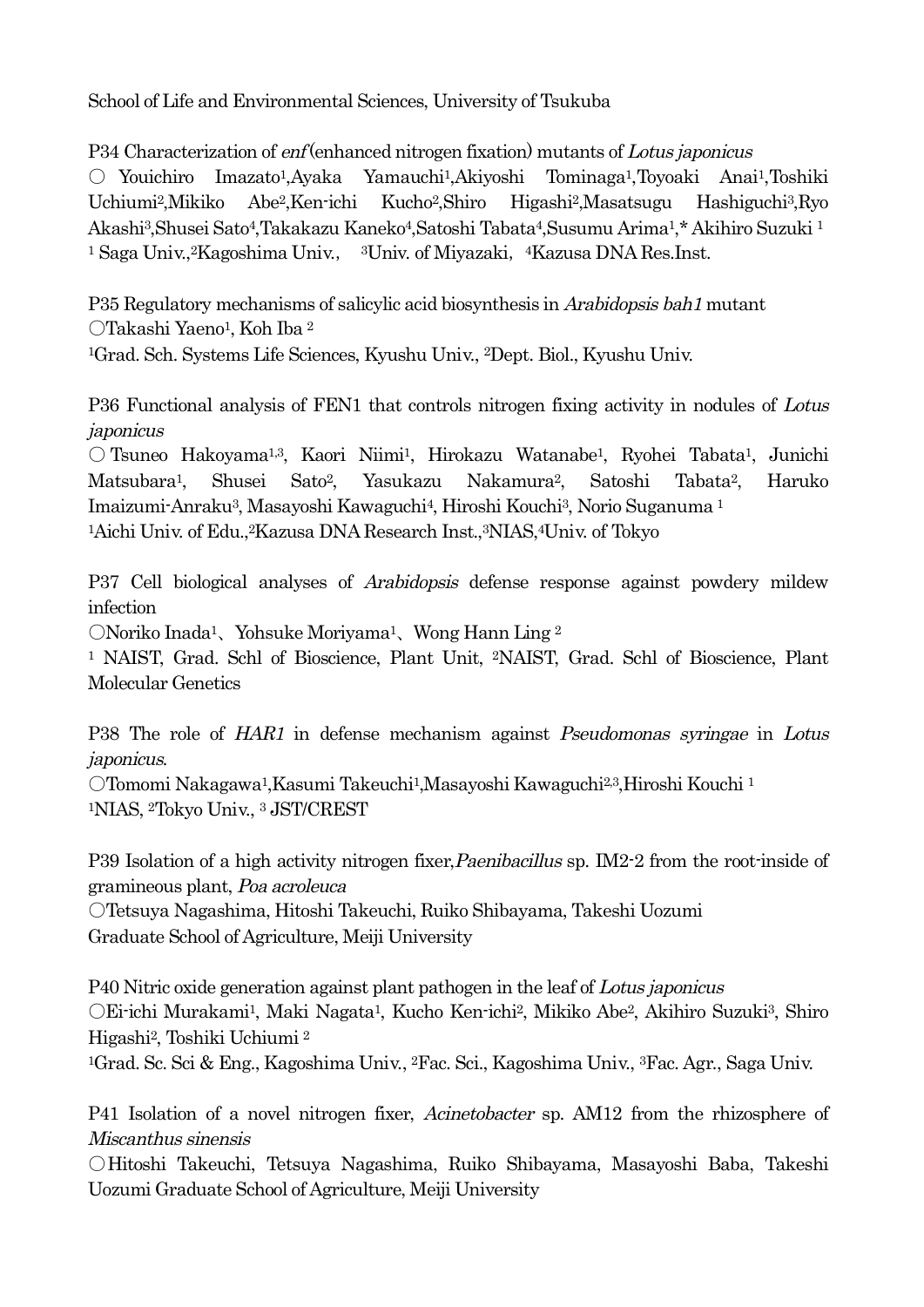School of Life and Environmental Sciences, University of Tsukuba

P34 Characterization of enf (enhanced nitrogen fixation) mutants of Lotus japonicus ○ Youichiro Imazato1,Ayaka Yamauchi1,Akiyoshi Tominaga1,Toyoaki Anai1,Toshiki Uchiumi2,Mikiko Abe2,Ken-ichi Kucho2,Shiro Higashi2,Masatsugu Hashiguchi3,Ryo Akashi3,Shusei Sato4,Takakazu Kaneko4,Satoshi Tabata4,Susumu Arima1,\* Akihiro Suzuki <sup>1</sup> <sup>1</sup> Saga Univ.,<sup>2</sup>Kagoshima Univ., <sup>3</sup>Univ. of Miyazaki, <sup>4</sup>Kazusa DNA Res.Inst.

P35 Regulatory mechanisms of salicylic acid biosynthesis in Arabidopsis bah1 mutant ○Takashi Yaeno1, Koh Iba <sup>2</sup>

1Grad. Sch. Systems Life Sciences, Kyushu Univ., 2Dept. Biol., Kyushu Univ.

P36 Functional analysis of FEN1 that controls nitrogen fixing activity in nodules of Lotus japonicus

○ Tsuneo Hakoyama1,3, Kaori Niimi1, Hirokazu Watanabe1, Ryohei Tabata1, Junichi Matsubara1, Shusei Sato2, Yasukazu Nakamura2, Satoshi Tabata2, Haruko Imaizumi-Anraku3, Masayoshi Kawaguchi4, Hiroshi Kouchi3, Norio Suganuma <sup>1</sup> <sup>1</sup>Aichi Univ. of Edu.,<sup>2</sup>Kazusa DNA Research Inst.,<sup>3</sup>NIAS,<sup>4</sup>Univ. of Tokyo

P37 Cell biological analyses of *Arabidopsis* defense response against powdery mildew infection

○Noriko Inada1、Yohsuke Moriyama1、Wong Hann Ling <sup>2</sup>

<sup>1</sup> NAIST, Grad. Schl of Bioscience, Plant Unit, 2NAIST, Grad. Schl of Bioscience, Plant Molecular Genetics

P38 The role of HAR1 in defense mechanism against Pseudomonas syringae in Lotus japonicus.

○Tomomi Nakagawa1,Kasumi Takeuchi1,Masayoshi Kawaguchi2,3,Hiroshi Kouchi <sup>1</sup> 1NIAS, 2Tokyo Univ., <sup>3</sup> JST/CREST

P39 Isolation of a high activity nitrogen fixer, Paenibacillus sp. IM2-2 from the root-inside of gramineous plant, Poa acroleuca

○Tetsuya Nagashima, Hitoshi Takeuchi, Ruiko Shibayama, Takeshi Uozumi Graduate School of Agriculture, Meiji University

P40 Nitric oxide generation against plant pathogen in the leaf of Lotus japonicus ○Ei-ichi Murakami1, Maki Nagata1, Kucho Ken-ichi2, Mikiko Abe2, Akihiro Suzuki3, Shiro Higashi2, Toshiki Uchiumi <sup>2</sup>

1Grad. Sc. Sci & Eng., Kagoshima Univ., 2Fac. Sci., Kagoshima Univ., 3Fac. Agr., Saga Univ.

P41 Isolation of a novel nitrogen fixer, *Acinetobacter* sp. AM12 from the rhizosphere of Miscanthus sinensis

○Hitoshi Takeuchi, Tetsuya Nagashima, Ruiko Shibayama, Masayoshi Baba, Takeshi Uozumi Graduate School of Agriculture, Meiji University